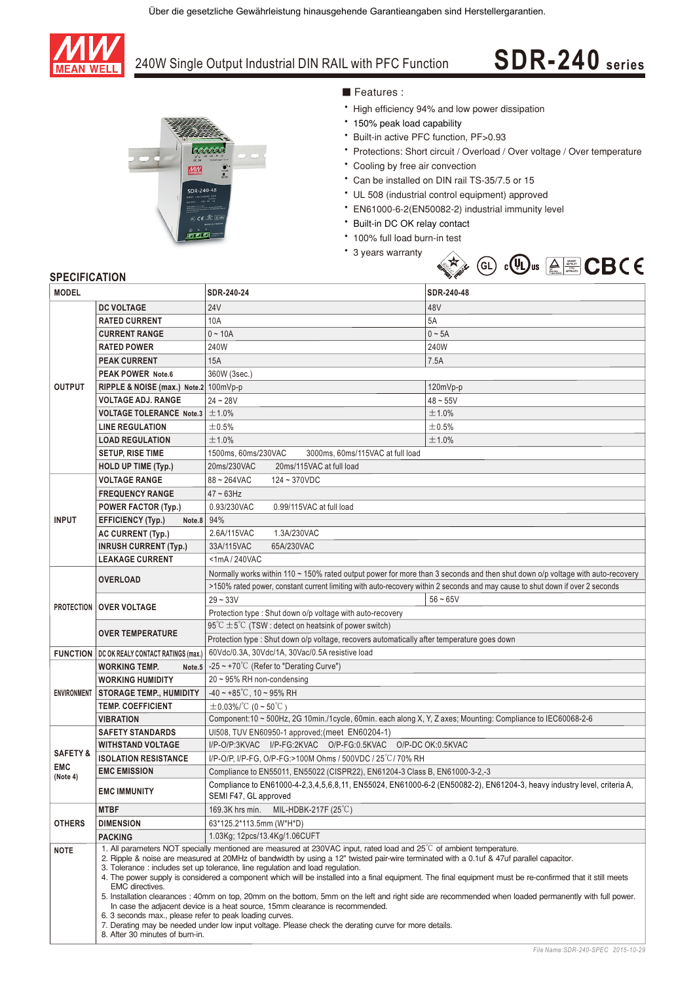

## 240W Single Output Industrial DIN RAIL with PFC Function

# **SDR-240 series**



#### Features:

- High efficiency 94% and low power dissipation
- \* 150% peak load capability
- \* Built-in active PFC function, PF>0.93
- \* Protections: Short circuit / Overload / Over voltage / Over temperature
- \* Cooling by free air convection
- \* Can be installed on DIN rail TS-35/7.5 or 15
- UL 508 (industrial control equipment) approved
- EN61000-6-2(EN50082-2) industrial immunity level
- \* Built-in DC OK relay contact
- \* 100% full load burn-in test
- \* 3 years warranty



### **SPECIFICATION**

| <b>MODEL</b>                                  |                                                                                                                                                                                                                                                                                                                                                                                                                                                                                                                                                                                                                                                                                                                                                                                                                                                                                                                                                                                         | SDR-240-24                                                                                                                                      | SDR-240-48  |  |
|-----------------------------------------------|-----------------------------------------------------------------------------------------------------------------------------------------------------------------------------------------------------------------------------------------------------------------------------------------------------------------------------------------------------------------------------------------------------------------------------------------------------------------------------------------------------------------------------------------------------------------------------------------------------------------------------------------------------------------------------------------------------------------------------------------------------------------------------------------------------------------------------------------------------------------------------------------------------------------------------------------------------------------------------------------|-------------------------------------------------------------------------------------------------------------------------------------------------|-------------|--|
|                                               | <b>DC VOLTAGE</b>                                                                                                                                                                                                                                                                                                                                                                                                                                                                                                                                                                                                                                                                                                                                                                                                                                                                                                                                                                       | <b>24V</b>                                                                                                                                      | 48V         |  |
| <b>OUTPUT</b>                                 | <b>RATED CURRENT</b>                                                                                                                                                                                                                                                                                                                                                                                                                                                                                                                                                                                                                                                                                                                                                                                                                                                                                                                                                                    | 10A                                                                                                                                             | 5A          |  |
|                                               | <b>CURRENT RANGE</b>                                                                                                                                                                                                                                                                                                                                                                                                                                                                                                                                                                                                                                                                                                                                                                                                                                                                                                                                                                    | $0 - 10A$                                                                                                                                       | $0 \sim 5A$ |  |
|                                               | <b>RATED POWER</b>                                                                                                                                                                                                                                                                                                                                                                                                                                                                                                                                                                                                                                                                                                                                                                                                                                                                                                                                                                      | 240W                                                                                                                                            | 240W        |  |
|                                               | <b>PEAK CURRENT</b>                                                                                                                                                                                                                                                                                                                                                                                                                                                                                                                                                                                                                                                                                                                                                                                                                                                                                                                                                                     | 15A                                                                                                                                             | 7.5A        |  |
|                                               | PEAK POWER Note.6                                                                                                                                                                                                                                                                                                                                                                                                                                                                                                                                                                                                                                                                                                                                                                                                                                                                                                                                                                       | 360W (3sec.)                                                                                                                                    |             |  |
|                                               | RIPPLE & NOISE (max.) Note.2 100mVp-p                                                                                                                                                                                                                                                                                                                                                                                                                                                                                                                                                                                                                                                                                                                                                                                                                                                                                                                                                   |                                                                                                                                                 | 120mVp-p    |  |
|                                               | <b>VOLTAGE ADJ. RANGE</b>                                                                                                                                                                                                                                                                                                                                                                                                                                                                                                                                                                                                                                                                                                                                                                                                                                                                                                                                                               | $24 - 28V$                                                                                                                                      | $48 - 55V$  |  |
|                                               | <b>VOLTAGE TOLERANCE Note.3</b>                                                                                                                                                                                                                                                                                                                                                                                                                                                                                                                                                                                                                                                                                                                                                                                                                                                                                                                                                         | ±1.0%                                                                                                                                           | ±1.0%       |  |
|                                               | <b>LINE REGULATION</b>                                                                                                                                                                                                                                                                                                                                                                                                                                                                                                                                                                                                                                                                                                                                                                                                                                                                                                                                                                  | ±0.5%                                                                                                                                           | ±0.5%       |  |
|                                               | <b>LOAD REGULATION</b>                                                                                                                                                                                                                                                                                                                                                                                                                                                                                                                                                                                                                                                                                                                                                                                                                                                                                                                                                                  | ±1.0%                                                                                                                                           | ±1.0%       |  |
|                                               | <b>SETUP, RISE TIME</b>                                                                                                                                                                                                                                                                                                                                                                                                                                                                                                                                                                                                                                                                                                                                                                                                                                                                                                                                                                 | 1500ms, 60ms/230VAC<br>3000ms, 60ms/115VAC at full load                                                                                         |             |  |
|                                               | <b>HOLD UP TIME (Typ.)</b>                                                                                                                                                                                                                                                                                                                                                                                                                                                                                                                                                                                                                                                                                                                                                                                                                                                                                                                                                              | 20ms/230VAC<br>20ms/115VAC at full load                                                                                                         |             |  |
| <b>INPUT</b>                                  | <b>VOLTAGE RANGE</b>                                                                                                                                                                                                                                                                                                                                                                                                                                                                                                                                                                                                                                                                                                                                                                                                                                                                                                                                                                    | 88~264VAC<br>$124 - 370VDC$                                                                                                                     |             |  |
|                                               | <b>FREQUENCY RANGE</b>                                                                                                                                                                                                                                                                                                                                                                                                                                                                                                                                                                                                                                                                                                                                                                                                                                                                                                                                                                  | $47 - 63$ Hz                                                                                                                                    |             |  |
|                                               | POWER FACTOR (Typ.)                                                                                                                                                                                                                                                                                                                                                                                                                                                                                                                                                                                                                                                                                                                                                                                                                                                                                                                                                                     | 0.93/230VAC<br>0.99/115VAC at full load                                                                                                         |             |  |
|                                               | <b>EFFICIENCY (Typ.)</b><br>Note.8                                                                                                                                                                                                                                                                                                                                                                                                                                                                                                                                                                                                                                                                                                                                                                                                                                                                                                                                                      | 94%                                                                                                                                             |             |  |
|                                               | <b>AC CURRENT (Typ.)</b>                                                                                                                                                                                                                                                                                                                                                                                                                                                                                                                                                                                                                                                                                                                                                                                                                                                                                                                                                                | 2.6A/115VAC<br>1.3A/230VAC                                                                                                                      |             |  |
|                                               | <b>INRUSH CURRENT (Typ.)</b>                                                                                                                                                                                                                                                                                                                                                                                                                                                                                                                                                                                                                                                                                                                                                                                                                                                                                                                                                            | 65A/230VAC<br>33A/115VAC                                                                                                                        |             |  |
|                                               | <b>LEAKAGE CURRENT</b>                                                                                                                                                                                                                                                                                                                                                                                                                                                                                                                                                                                                                                                                                                                                                                                                                                                                                                                                                                  | $<$ 1mA $/$ 240VAC                                                                                                                              |             |  |
|                                               | <b>OVERLOAD</b>                                                                                                                                                                                                                                                                                                                                                                                                                                                                                                                                                                                                                                                                                                                                                                                                                                                                                                                                                                         | Normally works within 110 ~ 150% rated output power for more than 3 seconds and then shut down o/p voltage with auto-recovery                   |             |  |
|                                               |                                                                                                                                                                                                                                                                                                                                                                                                                                                                                                                                                                                                                                                                                                                                                                                                                                                                                                                                                                                         | >150% rated power, constant current limiting with auto-recovery within 2 seconds and may cause to shut down if over 2 seconds                   |             |  |
|                                               | <b>PROTECTION OVER VOLTAGE</b>                                                                                                                                                                                                                                                                                                                                                                                                                                                                                                                                                                                                                                                                                                                                                                                                                                                                                                                                                          | $29 - 33V$                                                                                                                                      | $56 - 65V$  |  |
|                                               |                                                                                                                                                                                                                                                                                                                                                                                                                                                                                                                                                                                                                                                                                                                                                                                                                                                                                                                                                                                         | Protection type : Shut down o/p voltage with auto-recovery                                                                                      |             |  |
|                                               | <b>OVER TEMPERATURE</b>                                                                                                                                                                                                                                                                                                                                                                                                                                                                                                                                                                                                                                                                                                                                                                                                                                                                                                                                                                 | $95^{\circ}$ C $\pm 5^{\circ}$ C (TSW : detect on heatsink of power switch)                                                                     |             |  |
|                                               |                                                                                                                                                                                                                                                                                                                                                                                                                                                                                                                                                                                                                                                                                                                                                                                                                                                                                                                                                                                         | Protection type : Shut down o/p voltage, recovers automatically after temperature goes down                                                     |             |  |
|                                               | <b>FUNCTION   DC OK REALY CONTACT RATINGS (max.)</b>                                                                                                                                                                                                                                                                                                                                                                                                                                                                                                                                                                                                                                                                                                                                                                                                                                                                                                                                    | 60Vdc/0.3A, 30Vdc/1A, 30Vac/0.5A resistive load                                                                                                 |             |  |
| <b>ENVIRONMENT</b>                            | <b>WORKING TEMP.</b><br>Note.5                                                                                                                                                                                                                                                                                                                                                                                                                                                                                                                                                                                                                                                                                                                                                                                                                                                                                                                                                          | -25 ~ +70°C (Refer to "Derating Curve")                                                                                                         |             |  |
|                                               | <b>WORKING HUMIDITY</b>                                                                                                                                                                                                                                                                                                                                                                                                                                                                                                                                                                                                                                                                                                                                                                                                                                                                                                                                                                 | $20 \sim 95\%$ RH non-condensing                                                                                                                |             |  |
|                                               | <b>STORAGE TEMP., HUMIDITY</b>                                                                                                                                                                                                                                                                                                                                                                                                                                                                                                                                                                                                                                                                                                                                                                                                                                                                                                                                                          | $-40 \sim +85^{\circ}$ C, 10 ~ 95% RH                                                                                                           |             |  |
|                                               | <b>TEMP. COEFFICIENT</b>                                                                                                                                                                                                                                                                                                                                                                                                                                                                                                                                                                                                                                                                                                                                                                                                                                                                                                                                                                | $\pm$ 0.03%/°C (0~50°C)                                                                                                                         |             |  |
|                                               | <b>VIBRATION</b>                                                                                                                                                                                                                                                                                                                                                                                                                                                                                                                                                                                                                                                                                                                                                                                                                                                                                                                                                                        | Component:10 ~ 500Hz, 2G 10min./1cycle, 60min. each along X, Y, Z axes; Mounting: Compliance to IEC60068-2-6                                    |             |  |
| <b>SAFETY &amp;</b><br><b>EMC</b><br>(Note 4) | <b>SAFETY STANDARDS</b>                                                                                                                                                                                                                                                                                                                                                                                                                                                                                                                                                                                                                                                                                                                                                                                                                                                                                                                                                                 | UI508, TUV EN60950-1 approved; (meet EN60204-1)                                                                                                 |             |  |
|                                               | <b>WITHSTAND VOLTAGE</b>                                                                                                                                                                                                                                                                                                                                                                                                                                                                                                                                                                                                                                                                                                                                                                                                                                                                                                                                                                | I/P-O/P:3KVAC I/P-FG:2KVAC O/P-FG:0.5KVAC O/P-DCOK:0.5KVAC                                                                                      |             |  |
|                                               | <b>ISOLATION RESISTANCE</b>                                                                                                                                                                                                                                                                                                                                                                                                                                                                                                                                                                                                                                                                                                                                                                                                                                                                                                                                                             | I/P-O/P, I/P-FG, O/P-FG:>100M Ohms / 500VDC / 25 °C / 70% RH                                                                                    |             |  |
|                                               | <b>EMC EMISSION</b>                                                                                                                                                                                                                                                                                                                                                                                                                                                                                                                                                                                                                                                                                                                                                                                                                                                                                                                                                                     | Compliance to EN55011, EN55022 (CISPR22), EN61204-3 Class B, EN61000-3-2,-3                                                                     |             |  |
|                                               | <b>EMC IMMUNITY</b>                                                                                                                                                                                                                                                                                                                                                                                                                                                                                                                                                                                                                                                                                                                                                                                                                                                                                                                                                                     | Compliance to EN61000-4-2,3,4,5,6,8,11, EN55024, EN61000-6-2 (EN50082-2), EN61204-3, heavy industry level, criteria A,<br>SEMI F47, GL approved |             |  |
| <b>OTHERS</b>                                 | <b>MTBF</b>                                                                                                                                                                                                                                                                                                                                                                                                                                                                                                                                                                                                                                                                                                                                                                                                                                                                                                                                                                             | MIL-HDBK-217F (25 $\degree$ C)<br>169.3K hrs min.                                                                                               |             |  |
|                                               | <b>DIMENSION</b>                                                                                                                                                                                                                                                                                                                                                                                                                                                                                                                                                                                                                                                                                                                                                                                                                                                                                                                                                                        | 63*125.2*113.5mm (W*H*D)                                                                                                                        |             |  |
|                                               | PACKING                                                                                                                                                                                                                                                                                                                                                                                                                                                                                                                                                                                                                                                                                                                                                                                                                                                                                                                                                                                 | 1.03Kg; 12pcs/13.4Kg/1.06CUFT                                                                                                                   |             |  |
| <b>NOTE</b>                                   | 1. All parameters NOT specially mentioned are measured at 230VAC input, rated load and $25^{\circ}$ of ambient temperature.<br>2. Ripple & noise are measured at 20MHz of bandwidth by using a 12" twisted pair-wire terminated with a 0.1uf & 47uf parallel capacitor.<br>3. Tolerance: includes set up tolerance, line regulation and load regulation.<br>4. The power supply is considered a component which will be installed into a final equipment. The final equipment must be re-confirmed that it still meets<br>EMC directives.<br>5. Installation clearances: 40mm on top, 20mm on the bottom, 5mm on the left and right side are recommended when loaded permanently with full power.<br>In case the adjacent device is a heat source, 15mm clearance is recommended.<br>6. 3 seconds max., please refer to peak loading curves.<br>7. Derating may be needed under low input voltage. Please check the derating curve for more details.<br>8. After 30 minutes of burn-in. |                                                                                                                                                 |             |  |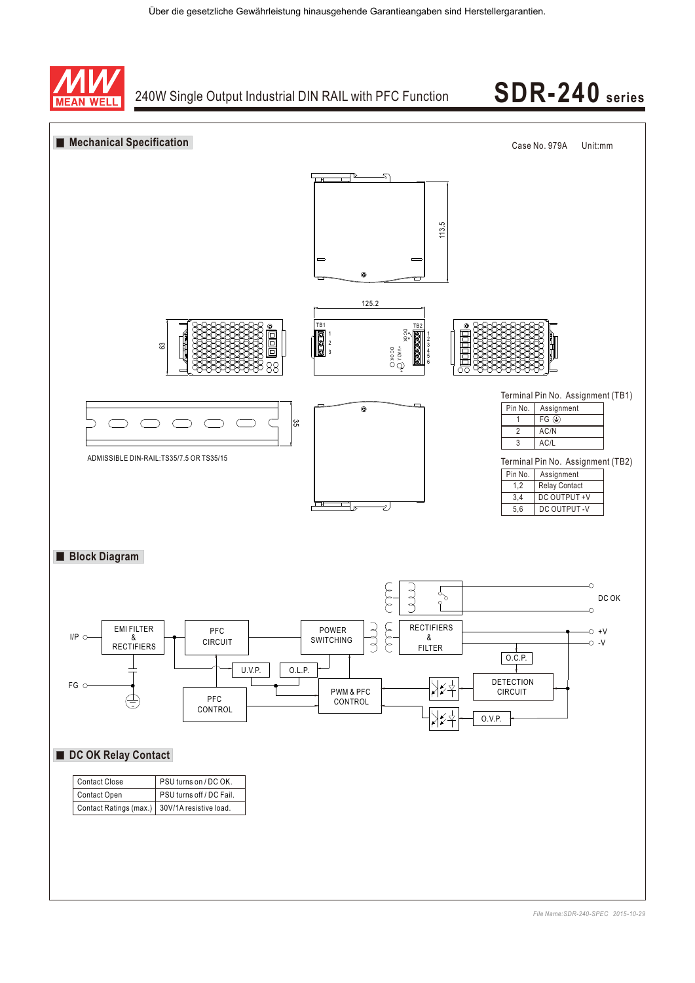

## 240W Single Output Industrial DIN RAIL with PFC Function **SDR-240 series**